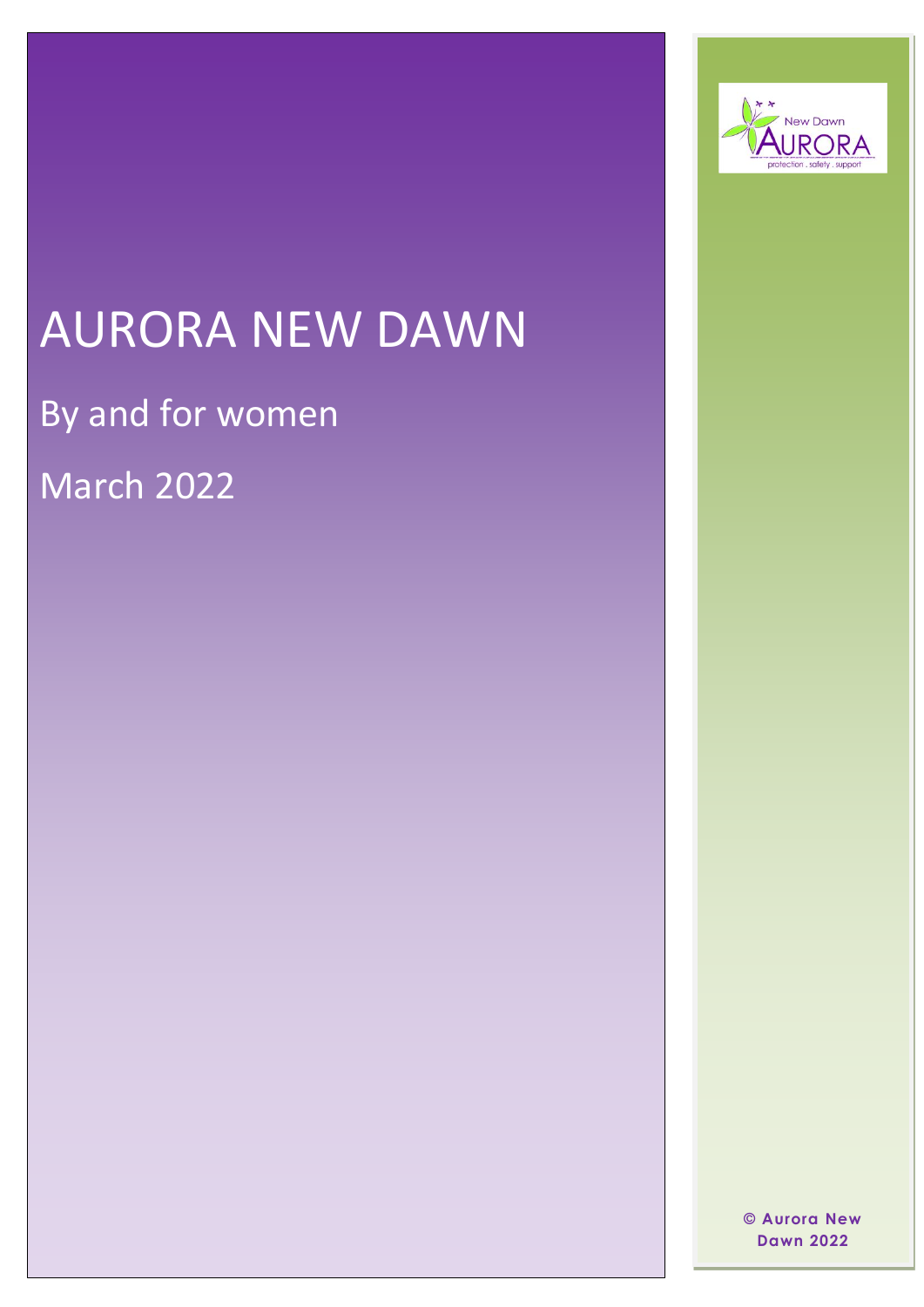

# AURORA NEW DAWN

By and for women

March 2022

 $©$  Aurora New **Dawn 2022**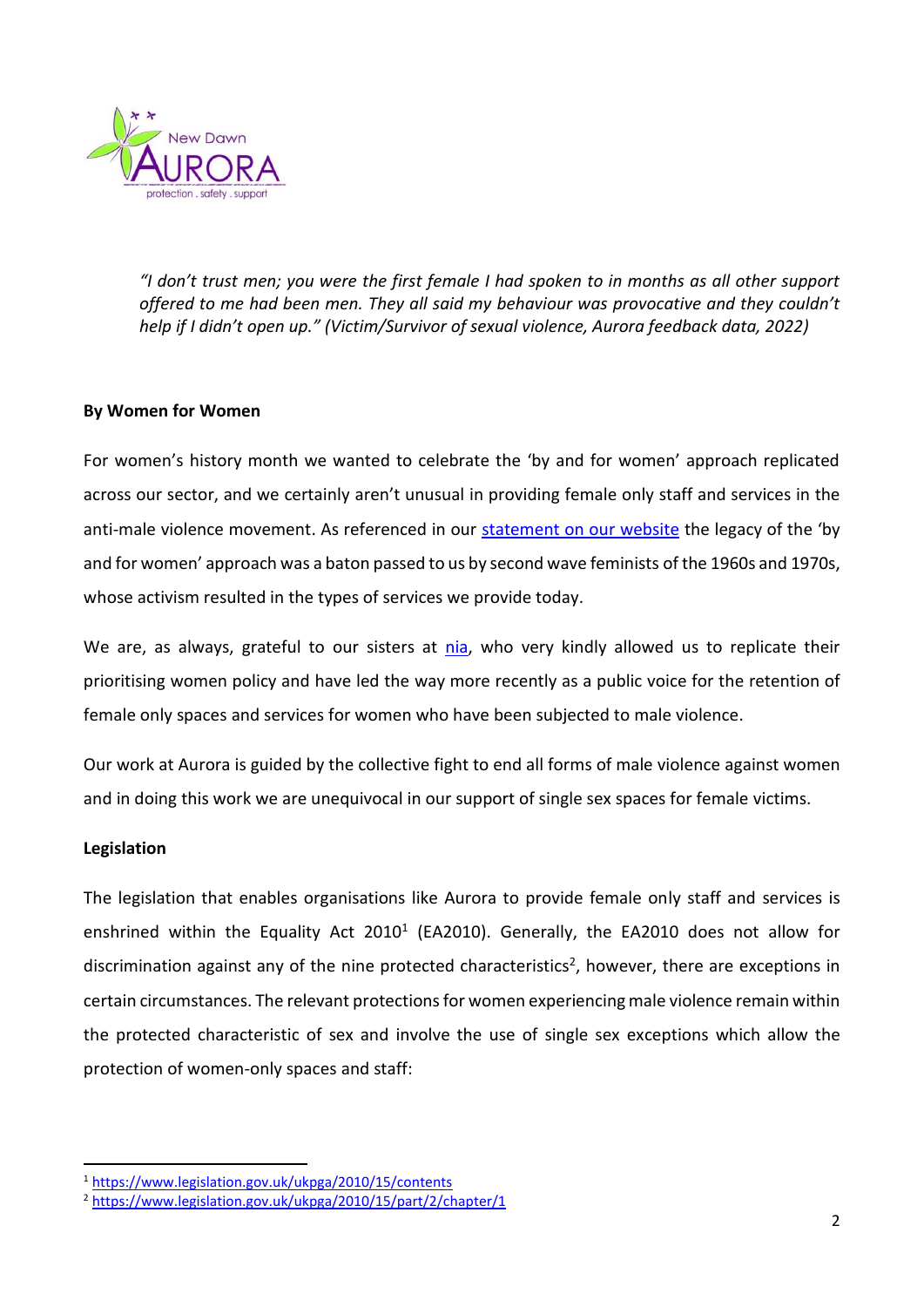

*"I don't trust men; you were the first female I had spoken to in months as all other support offered to me had been men. They all said my behaviour was provocative and they couldn't help if I didn't open up." (Victim/Survivor of sexual violence, Aurora feedback data, 2022)*

## **By Women for Women**

For women's history month we wanted to celebrate the 'by and for women' approach replicated across our sector, and we certainly aren't unusual in providing female only staff and services in the anti-male violence movement. As referenced in our [statement on our website](https://www.aurorand.org.uk/news/by-women-for-women/) the legacy of the 'by and for women' approach was a baton passed to us by second wave feminists of the 1960s and 1970s, whose activism resulted in the types of services we provide today.

We are, as always, grateful to our sisters at [nia,](https://niaendingviolence.org.uk/) who very kindly allowed us to replicate their prioritising women policy and have led the way more recently as a public voice for the retention of female only spaces and services for women who have been subjected to male violence.

Our work at Aurora is guided by the collective fight to end all forms of male violence against women and in doing this work we are unequivocal in our support of single sex spaces for female victims.

#### **Legislation**

The legislation that enables organisations like Aurora to provide female only staff and services is enshrined within the Equality Act 2010<sup>1</sup> (EA2010). Generally, the EA2010 does not allow for discrimination against any of the nine protected characteristics<sup>2</sup>, however, there are exceptions in certain circumstances. The relevant protections for women experiencing male violence remain within the protected characteristic of sex and involve the use of single sex exceptions which allow the protection of women-only spaces and staff:

<sup>1</sup> <https://www.legislation.gov.uk/ukpga/2010/15/contents>

<sup>2</sup> <https://www.legislation.gov.uk/ukpga/2010/15/part/2/chapter/1>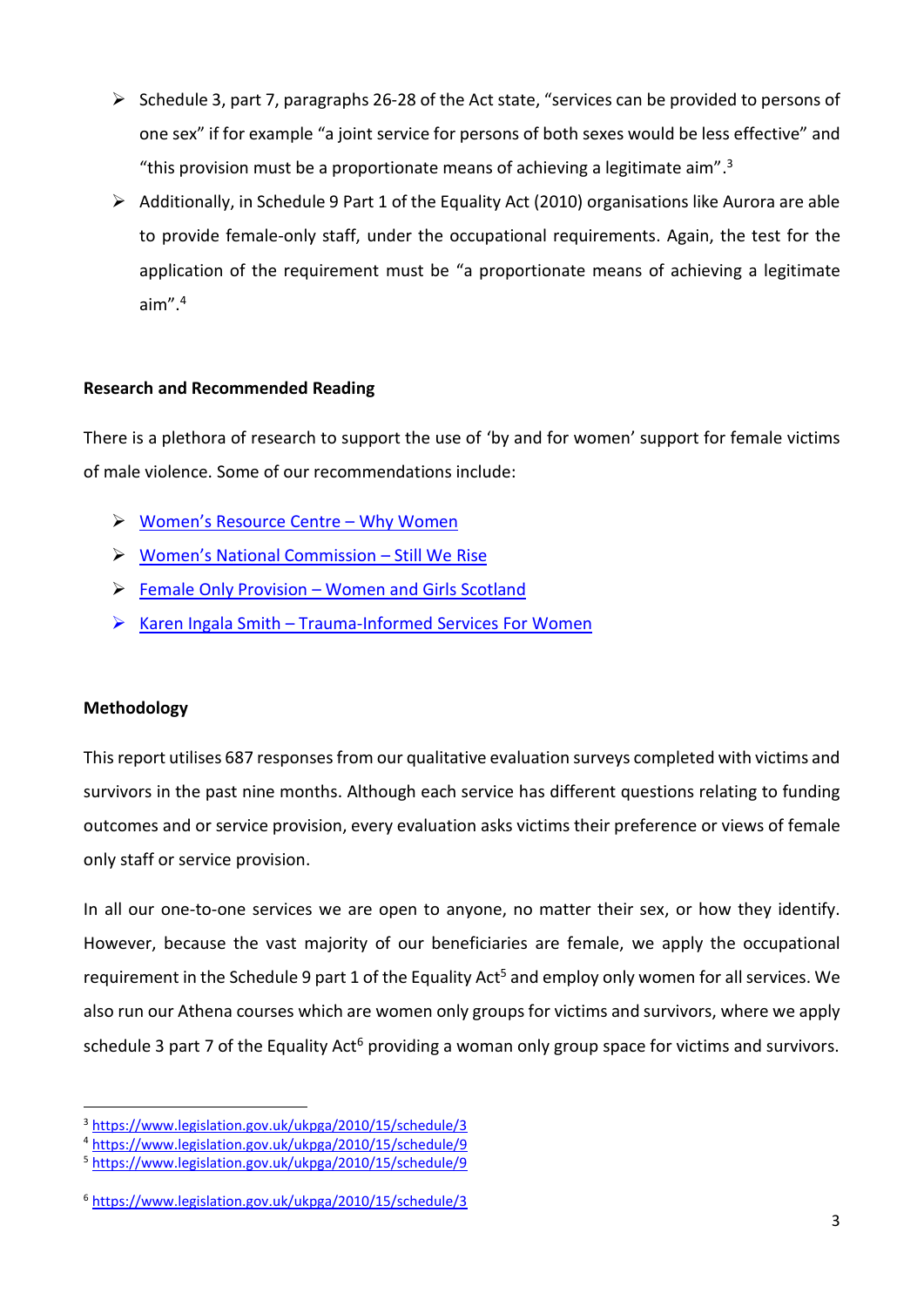- ➢ Schedule 3, part 7, paragraphs 26-28 of the Act state, "services can be provided to persons of one sex" if for example "a joint service for persons of both sexes would be less effective" and "this provision must be a proportionate means of achieving a legitimate aim". 3
- ➢ Additionally, in Schedule 9 Part 1 of the Equality Act (2010) organisations like Aurora are able to provide female-only staff, under the occupational requirements. Again, the test for the application of the requirement must be "a proportionate means of achieving a legitimate aim". 4

## **Research and Recommended Reading**

There is a plethora of research to support the use of 'by and for women' support for female victims of male violence. Some of our recommendations include:

- ➢ [Women's Resource Centre –](https://www.wrc.org.uk/Handlers/Download.ashx?IDMF=fcc6bbc0-e18d-4b66-ad35-3e679fc9b549) Why Women
- ➢ Wo[men's National Commission –](https://www.endviolenceagainstwomen.org.uk/wp-content/uploads/wnc-report-strategy-focus-groups.pdf) Still We Rise
- ➢ Female Only Provision [Women and Girls Scotland](https://secureservercdn.net/160.153.137.99/hjn.a49.myftpupload.com/wp-content/uploads/2019/09/WGS_female_only_provision_report.pdf)
- ➢ Karen Ingala Smith Trauma-Informe[d Services](https://kareningalasmith.com/2020/07/08/trauma-informed-services-for-women-subjected-to-mens-violence-must-be-single-sex-services/) For Women

## **Methodology**

Thisreport utilises 687 responses from our qualitative evaluation surveys completed with victims and survivors in the past nine months. Although each service has different questions relating to funding outcomes and or service provision, every evaluation asks victims their preference or views of female only staff or service provision.

In all our one-to-one services we are open to anyone, no matter their sex, or how they identify. However, because the vast majority of our beneficiaries are female, we apply the occupational requirement in the Schedule 9 part 1 of the Equality Act<sup>5</sup> and employ only women for all services. We also run our Athena courses which are women only groups for victims and survivors, where we apply schedule 3 part 7 of the Equality Act<sup>6</sup> providing a woman only group space for victims and survivors.

<sup>3</sup> <https://www.legislation.gov.uk/ukpga/2010/15/schedule/3>

<sup>4</sup> <https://www.legislation.gov.uk/ukpga/2010/15/schedule/9>

<sup>5</sup> <https://www.legislation.gov.uk/ukpga/2010/15/schedule/9>

<sup>6</sup> <https://www.legislation.gov.uk/ukpga/2010/15/schedule/3>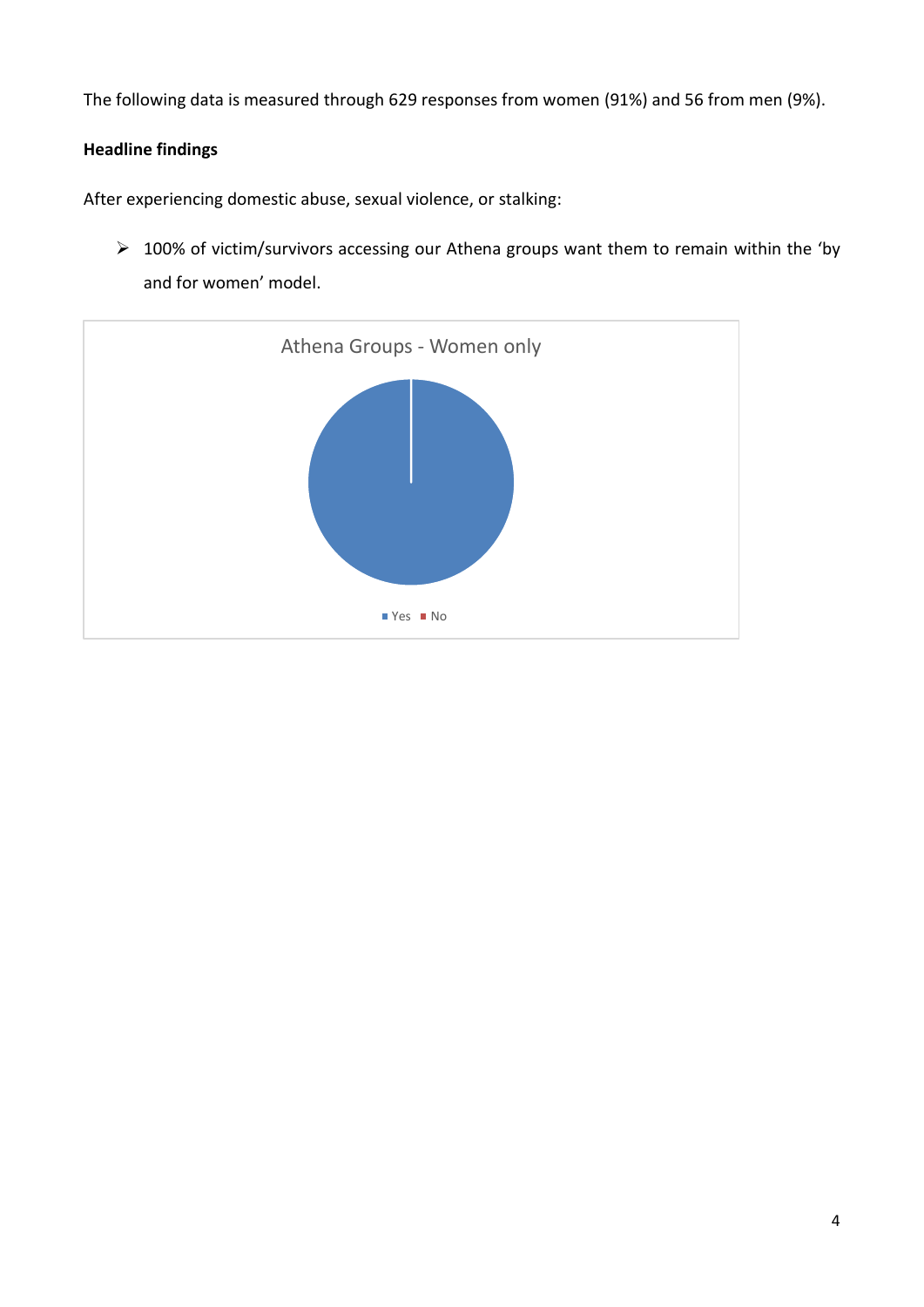The following data is measured through 629 responses from women (91%) and 56 from men (9%).

# **Headline findings**

After experiencing domestic abuse, sexual violence, or stalking:

➢ 100% of victim/survivors accessing our Athena groups want them to remain within the 'by and for women' model.

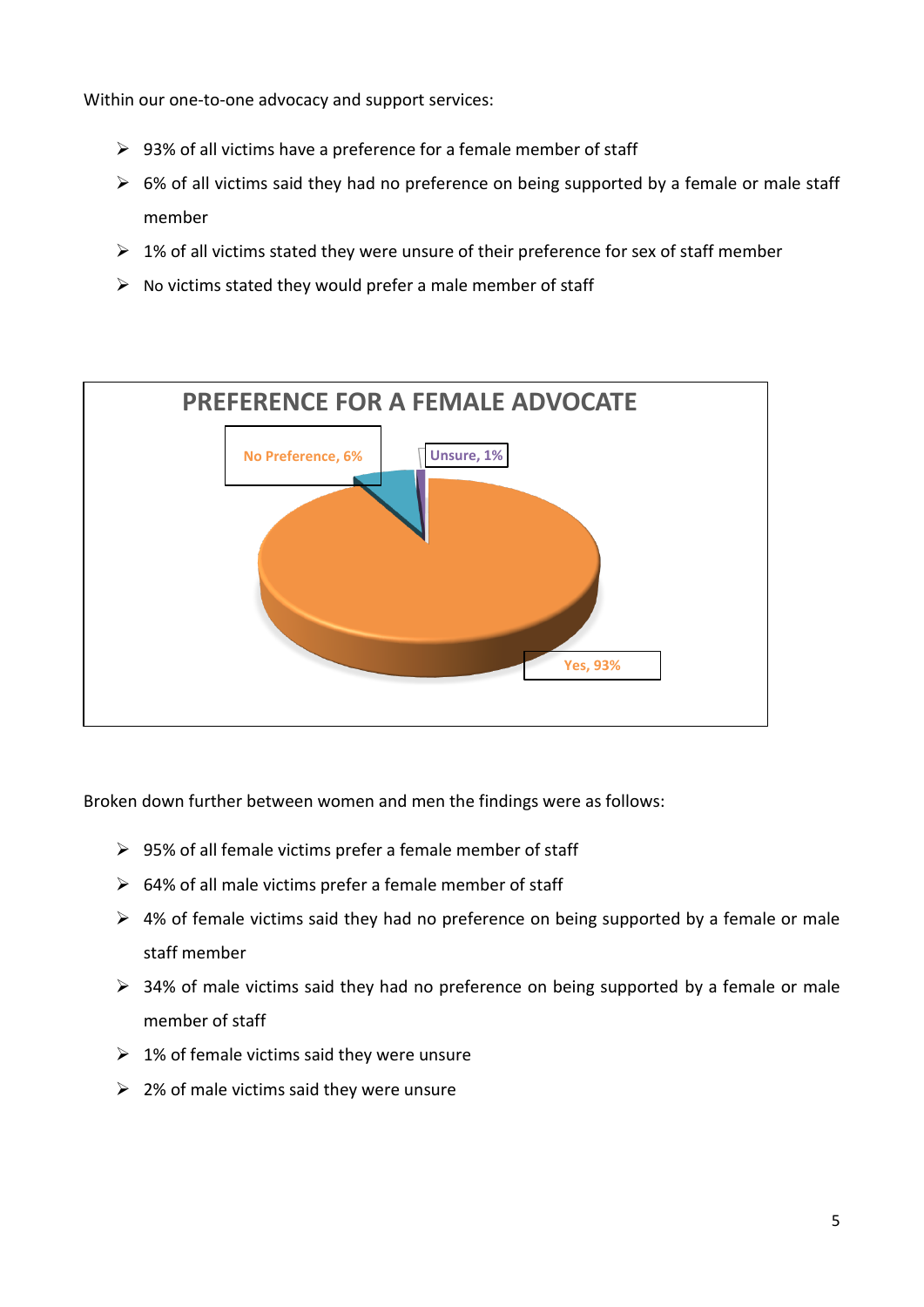Within our one-to-one advocacy and support services:

- $\triangleright$  93% of all victims have a preference for a female member of staff
- $\triangleright$  6% of all victims said they had no preference on being supported by a female or male staff member
- $\geq 1\%$  of all victims stated they were unsure of their preference for sex of staff member
- $\triangleright$  No victims stated they would prefer a male member of staff



Broken down further between women and men the findings were as follows:

- $\triangleright$  95% of all female victims prefer a female member of staff
- $\geq$  64% of all male victims prefer a female member of staff
- $\triangleright$  4% of female victims said they had no preference on being supported by a female or male staff member
- ➢ 34% of male victims said they had no preference on being supported by a female or male member of staff
- $\geq 1\%$  of female victims said they were unsure
- $\geq$  2% of male victims said they were unsure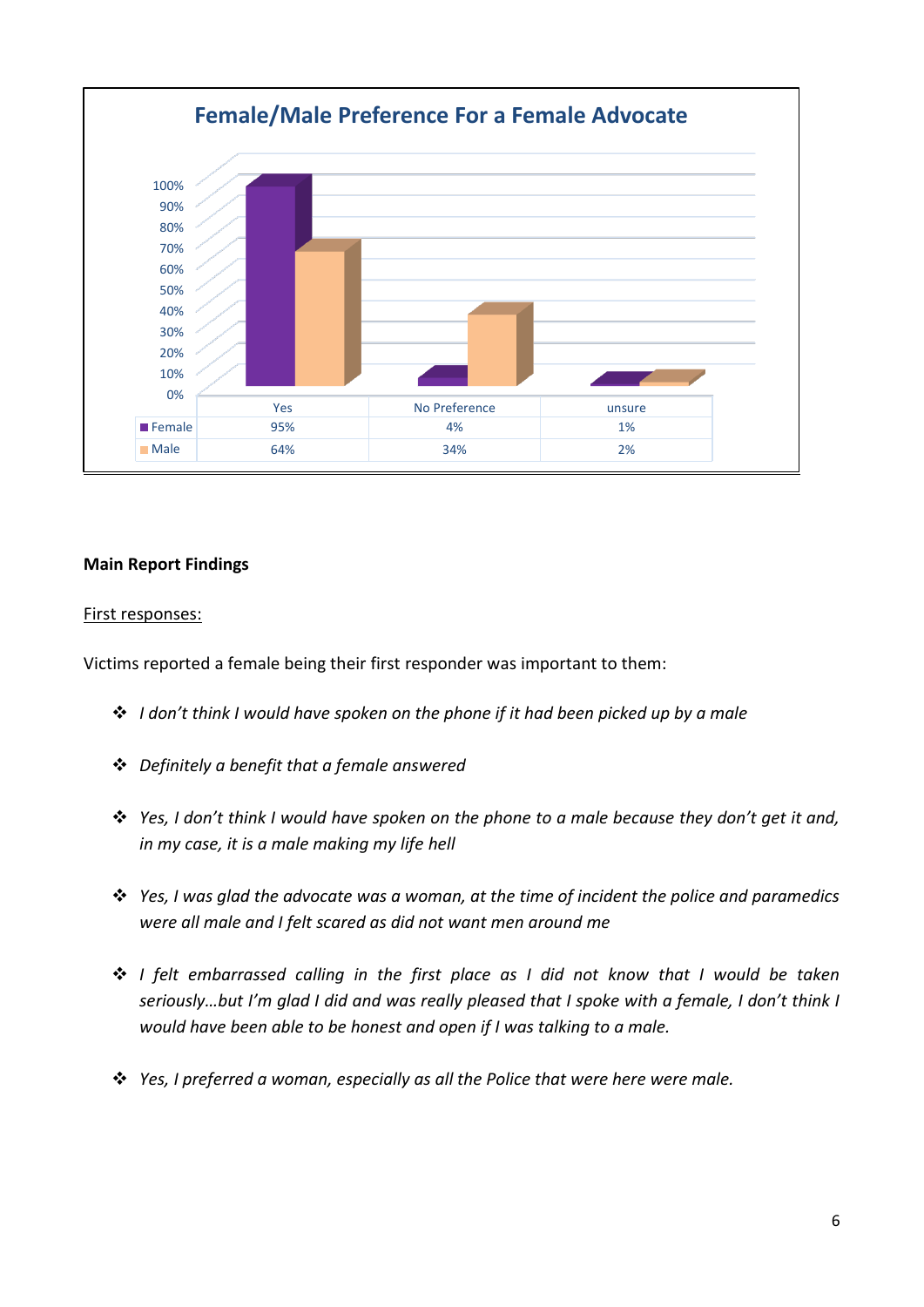

## **Main Report Findings**

#### First responses:

Victims reported a female being their first responder was important to them:

- ❖ *I don't think I would have spoken on the phone if it had been picked up by a male*
- ❖ *Definitely a benefit that a female answered*
- ❖ *Yes, I don't think I would have spoken on the phone to a male because they don't get it and, in my case, it is a male making my life hell*
- ❖ *Yes, I was glad the advocate was a woman, at the time of incident the police and paramedics were all male and I felt scared as did not want men around me*
- ❖ *I felt embarrassed calling in the first place as I did not know that I would be taken seriously…but I'm glad I did and was really pleased that I spoke with a female, I don't think I would have been able to be honest and open if I was talking to a male.*
- ❖ *Yes, I preferred a woman, especially as all the Police that were here were male.*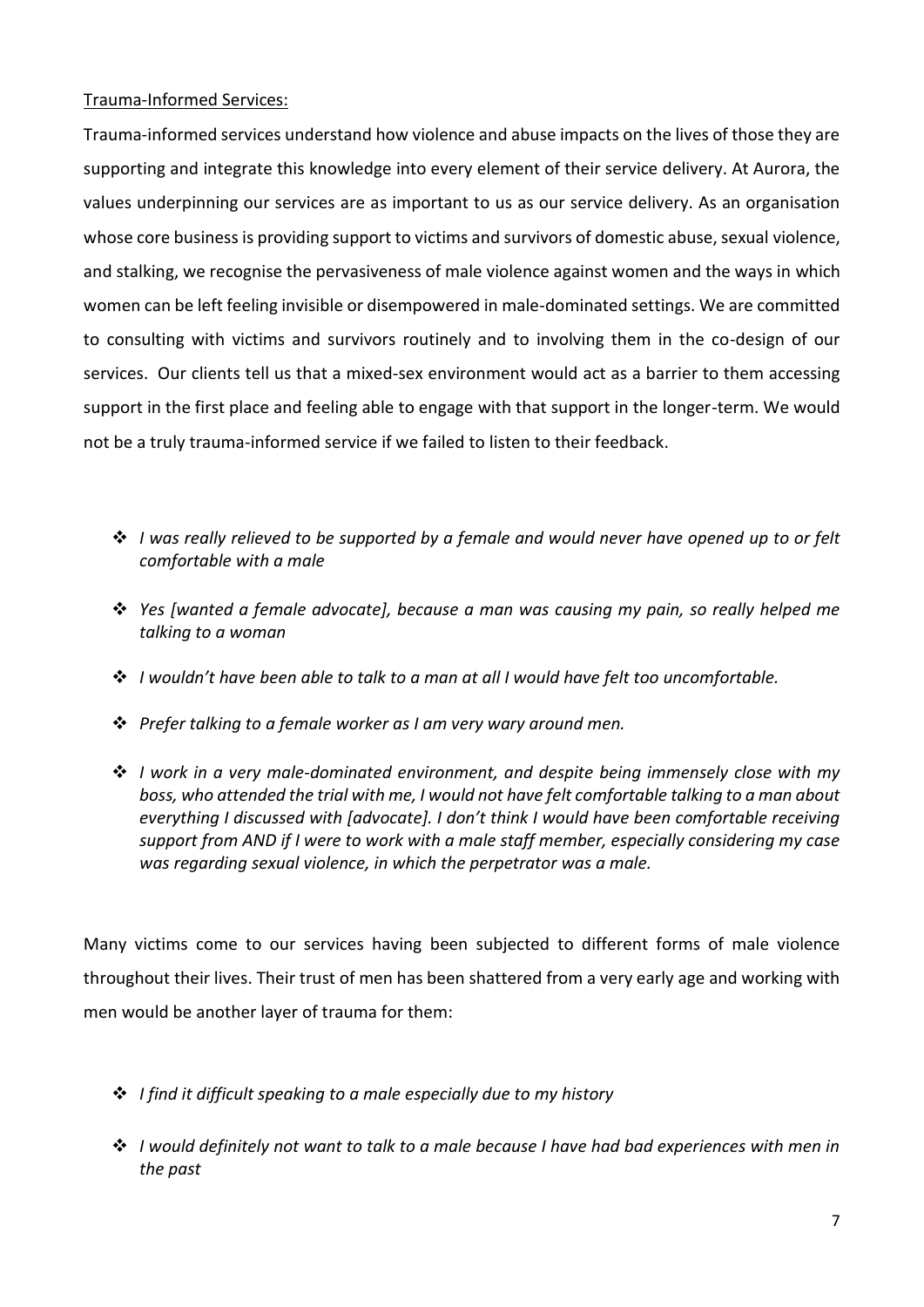## Trauma-Informed Services:

Trauma-informed services understand how violence and abuse impacts on the lives of those they are supporting and integrate this knowledge into every element of their service delivery. At Aurora, the values underpinning our services are as important to us as our service delivery. As an organisation whose core business is providing support to victims and survivors of domestic abuse, sexual violence, and stalking, we recognise the pervasiveness of male violence against women and the ways in which women can be left feeling invisible or disempowered in male-dominated settings. We are committed to consulting with victims and survivors routinely and to involving them in the co-design of our services. Our clients tell us that a mixed-sex environment would act as a barrier to them accessing support in the first place and feeling able to engage with that support in the longer-term. We would not be a truly trauma-informed service if we failed to listen to their feedback.

- ❖ *I was really relieved to be supported by a female and would never have opened up to or felt comfortable with a male*
- ❖ *Yes [wanted a female advocate], because a man was causing my pain, so really helped me talking to a woman*
- ❖ *I wouldn't have been able to talk to a man at all I would have felt too uncomfortable.*
- ❖ *Prefer talking to a female worker as I am very wary around men.*
- ❖ *I work in a very male-dominated environment, and despite being immensely close with my boss, who attended the trial with me, I would not have felt comfortable talking to a man about everything I discussed with [advocate]. I don't think I would have been comfortable receiving support from AND if I were to work with a male staff member, especially considering my case was regarding sexual violence, in which the perpetrator was a male.*

Many victims come to our services having been subjected to different forms of male violence throughout their lives. Their trust of men has been shattered from a very early age and working with men would be another layer of trauma for them:

- ❖ *I find it difficult speaking to a male especially due to my history*
- ❖ *I would definitely not want to talk to a male because I have had bad experiences with men in the past*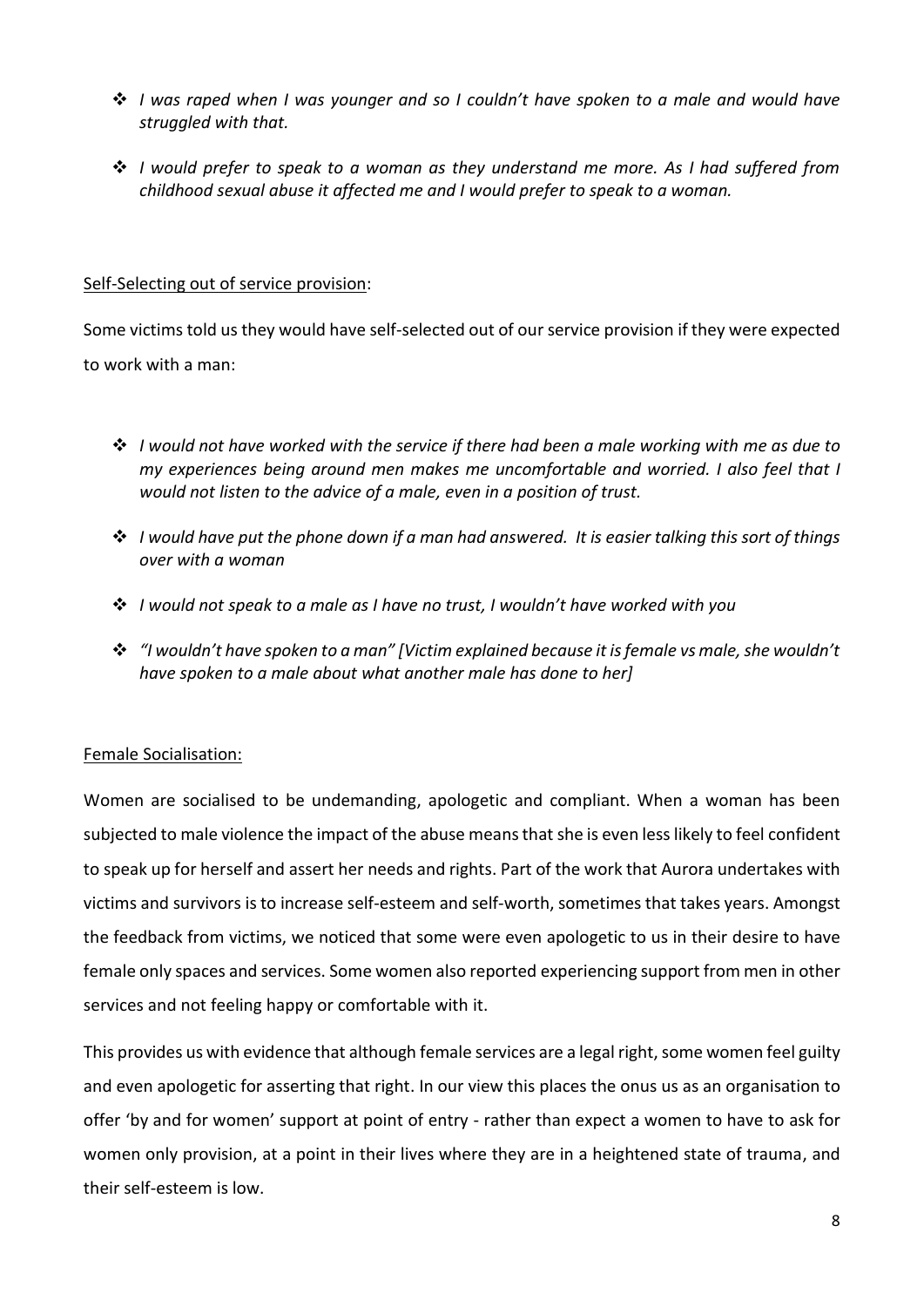- ❖ *I was raped when I was younger and so I couldn't have spoken to a male and would have struggled with that.*
- ❖ *I would prefer to speak to a woman as they understand me more. As I had suffered from childhood sexual abuse it affected me and I would prefer to speak to a woman.*

#### Self-Selecting out of service provision:

Some victims told us they would have self-selected out of our service provision if they were expected to work with a man:

- ❖ *I would not have worked with the service if there had been a male working with me as due to my experiences being around men makes me uncomfortable and worried. I also feel that I would not listen to the advice of a male, even in a position of trust.*
- ❖ *I would have put the phone down if a man had answered. It is easier talking this sort of things over with a woman*
- ❖ *I would not speak to a male as I have no trust, I wouldn't have worked with you*
- ❖ *"I wouldn't have spoken to a man" [Victim explained because it is female vs male, she wouldn't have spoken to a male about what another male has done to her]*

#### Female Socialisation:

Women are socialised to be undemanding, apologetic and compliant. When a woman has been subjected to male violence the impact of the abuse means that she is even less likely to feel confident to speak up for herself and assert her needs and rights. Part of the work that Aurora undertakes with victims and survivors is to increase self-esteem and self-worth, sometimes that takes years. Amongst the feedback from victims, we noticed that some were even apologetic to us in their desire to have female only spaces and services. Some women also reported experiencing support from men in other services and not feeling happy or comfortable with it.

This provides us with evidence that although female services are a legal right, some women feel guilty and even apologetic for asserting that right. In our view this places the onus us as an organisation to offer 'by and for women' support at point of entry - rather than expect a women to have to ask for women only provision, at a point in their lives where they are in a heightened state of trauma, and their self-esteem is low.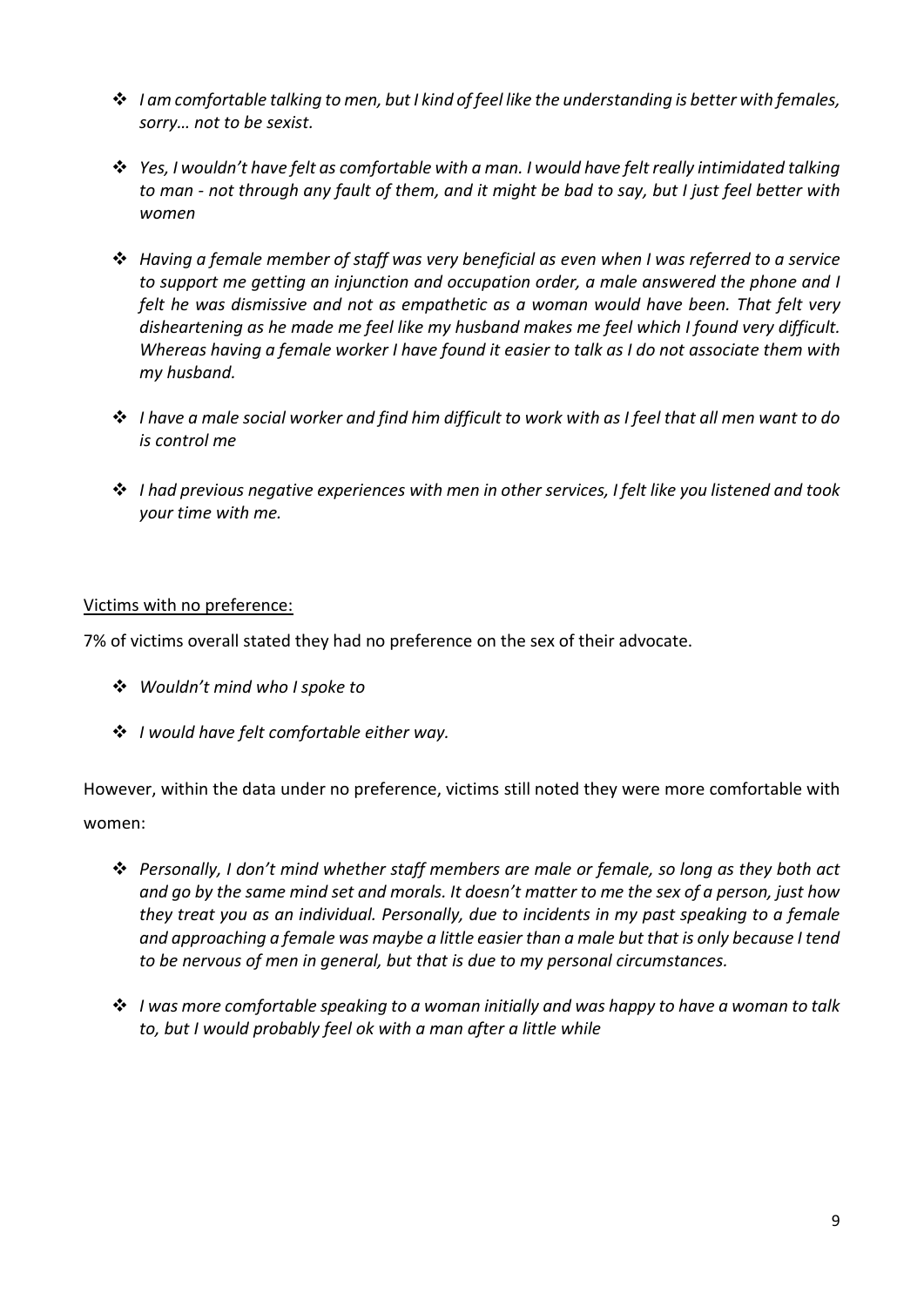- ❖ *I am comfortable talking to men, but I kind of feel like the understanding is better with females, sorry… not to be sexist.*
- ❖ *Yes, I wouldn't have felt as comfortable with a man. I would have felt really intimidated talking to man - not through any fault of them, and it might be bad to say, but I just feel better with women*
- ❖ *Having a female member of staff was very beneficial as even when I was referred to a service to support me getting an injunction and occupation order, a male answered the phone and I felt he was dismissive and not as empathetic as a woman would have been. That felt very disheartening as he made me feel like my husband makes me feel which I found very difficult. Whereas having a female worker I have found it easier to talk as I do not associate them with my husband.*
- ❖ *I have a male social worker and find him difficult to work with as I feel that all men want to do is control me*
- ❖ *I had previous negative experiences with men in other services, I felt like you listened and took your time with me.*

## Victims with no preference:

7% of victims overall stated they had no preference on the sex of their advocate.

- ❖ *Wouldn't mind who I spoke to*
- ❖ *I would have felt comfortable either way.*

However, within the data under no preference, victims still noted they were more comfortable with women:

- ❖ *Personally, I don't mind whether staff members are male or female, so long as they both act and go by the same mind set and morals. It doesn't matter to me the sex of a person, just how they treat you as an individual. Personally, due to incidents in my past speaking to a female and approaching a female was maybe a little easier than a male but that is only because I tend to be nervous of men in general, but that is due to my personal circumstances.*
- ❖ *I was more comfortable speaking to a woman initially and was happy to have a woman to talk to, but I would probably feel ok with a man after a little while*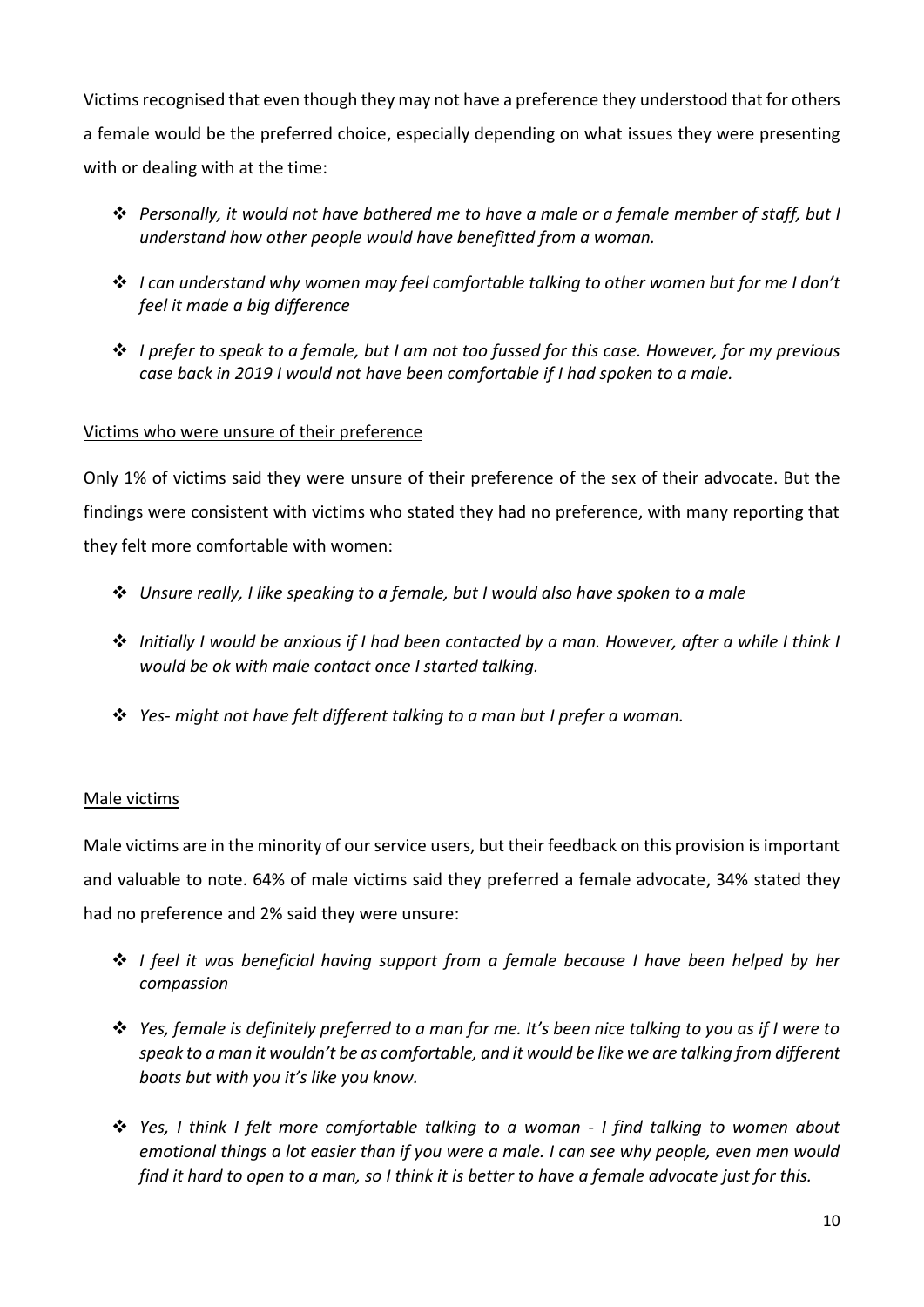Victims recognised that even though they may not have a preference they understood that for others a female would be the preferred choice, especially depending on what issues they were presenting with or dealing with at the time:

- ❖ *Personally, it would not have bothered me to have a male or a female member of staff, but I understand how other people would have benefitted from a woman.*
- ❖ *I can understand why women may feel comfortable talking to other women but for me I don't feel it made a big difference*
- ❖ *I prefer to speak to a female, but I am not too fussed for this case. However, for my previous case back in 2019 I would not have been comfortable if I had spoken to a male.*

# Victims who were unsure of their preference

Only 1% of victims said they were unsure of their preference of the sex of their advocate. But the findings were consistent with victims who stated they had no preference, with many reporting that they felt more comfortable with women:

- ❖ *Unsure really, I like speaking to a female, but I would also have spoken to a male*
- ❖ *Initially I would be anxious if I had been contacted by a man. However, after a while I think I would be ok with male contact once I started talking.*
- ❖ *Yes- might not have felt different talking to a man but I prefer a woman.*

# Male victims

Male victims are in the minority of our service users, but their feedback on this provision is important and valuable to note. 64% of male victims said they preferred a female advocate, 34% stated they had no preference and 2% said they were unsure:

- ❖ *I feel it was beneficial having support from a female because I have been helped by her compassion*
- ❖ *Yes, female is definitely preferred to a man for me. It's been nice talking to you as if I were to speak to a man it wouldn't be as comfortable, and it would be like we are talking from different boats but with you it's like you know.*
- ❖ *Yes, I think I felt more comfortable talking to a woman - I find talking to women about emotional things a lot easier than if you were a male. I can see why people, even men would find it hard to open to a man, so I think it is better to have a female advocate just for this.*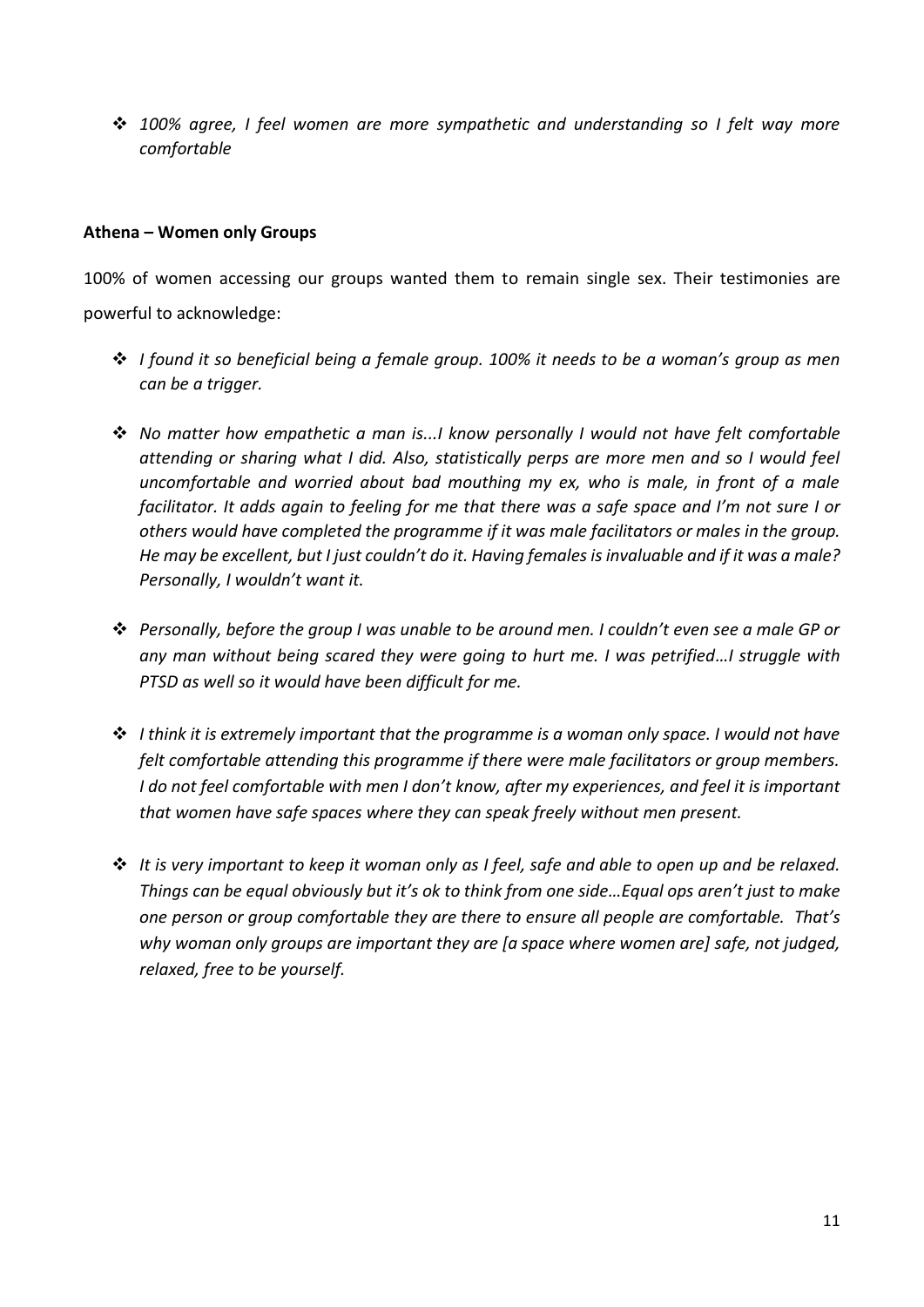❖ *100% agree, I feel women are more sympathetic and understanding so I felt way more comfortable*

#### **Athena – Women only Groups**

100% of women accessing our groups wanted them to remain single sex. Their testimonies are powerful to acknowledge:

- ❖ *I found it so beneficial being a female group. 100% it needs to be a woman's group as men can be a trigger.*
- ❖ *No matter how empathetic a man is...I know personally I would not have felt comfortable attending or sharing what I did. Also, statistically perps are more men and so I would feel uncomfortable and worried about bad mouthing my ex, who is male, in front of a male facilitator. It adds again to feeling for me that there was a safe space and I'm not sure I or others would have completed the programme if it was male facilitators or males in the group. He may be excellent, but I just couldn't do it. Having females is invaluable and if it was a male? Personally, I wouldn't want it.*
- ❖ *Personally, before the group I was unable to be around men. I couldn't even see a male GP or any man without being scared they were going to hurt me. I was petrified…I struggle with PTSD as well so it would have been difficult for me.*
- ❖ *I think it is extremely important that the programme is a woman only space. I would not have felt comfortable attending this programme if there were male facilitators or group members. I do not feel comfortable with men I don't know, after my experiences, and feel it is important that women have safe spaces where they can speak freely without men present.*
- ❖ *It is very important to keep it woman only as I feel, safe and able to open up and be relaxed. Things can be equal obviously but it's ok to think from one side…Equal ops aren't just to make one person or group comfortable they are there to ensure all people are comfortable. That's why woman only groups are important they are [a space where women are] safe, not judged, relaxed, free to be yourself.*